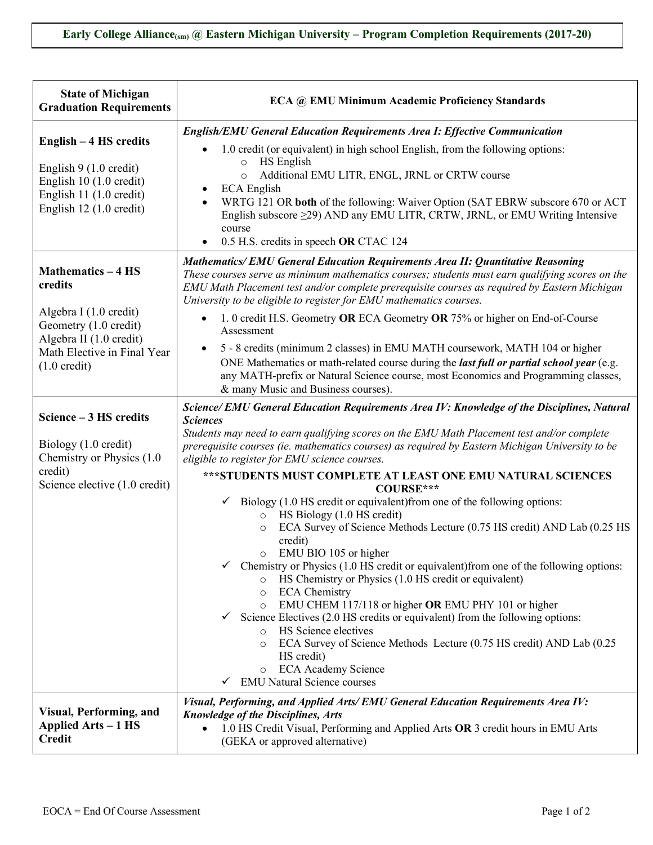| <b>State of Michigan</b><br><b>Graduation Requirements</b>                                                                          | ECA @ EMU Minimum Academic Proficiency Standards                                                                                                                                                                                                                                                             |
|-------------------------------------------------------------------------------------------------------------------------------------|--------------------------------------------------------------------------------------------------------------------------------------------------------------------------------------------------------------------------------------------------------------------------------------------------------------|
|                                                                                                                                     | <b>English/EMU General Education Requirements Area I: Effective Communication</b>                                                                                                                                                                                                                            |
| English – 4 HS credits                                                                                                              | 1.0 credit (or equivalent) in high school English, from the following options:<br>HS English                                                                                                                                                                                                                 |
| English $9(1.0 \text{ credit})$<br>English 10 (1.0 credit)                                                                          | $\circ$<br>Additional EMU LITR, ENGL, JRNL or CRTW course<br>$\circ$                                                                                                                                                                                                                                         |
| English 11 (1.0 credit)<br>English 12 (1.0 credit)                                                                                  | <b>ECA</b> English<br>$\bullet$<br>WRTG 121 OR both of the following: Waiver Option (SAT EBRW subscore 670 or ACT<br>English subscore $\geq$ 29) AND any EMU LITR, CRTW, JRNL, or EMU Writing Intensive<br>course<br>0.5 H.S. credits in speech OR CTAC 124<br>$\bullet$                                     |
|                                                                                                                                     | <b>Mathematics/EMU General Education Requirements Area II: Quantitative Reasoning</b>                                                                                                                                                                                                                        |
| <b>Mathematics - 4 HS</b><br>credits                                                                                                | These courses serve as minimum mathematics courses; students must earn qualifying scores on the<br>EMU Math Placement test and/or complete prerequisite courses as required by Eastern Michigan<br>University to be eligible to register for EMU mathematics courses.                                        |
| Algebra I (1.0 credit)<br>Geometry (1.0 credit)<br>Algebra II (1.0 credit)<br>Math Elective in Final Year<br>$(1.0 \text{ credit})$ | 1. 0 credit H.S. Geometry OR ECA Geometry OR 75% or higher on End-of-Course<br>$\bullet$<br>Assessment                                                                                                                                                                                                       |
|                                                                                                                                     | 5 - 8 credits (minimum 2 classes) in EMU MATH coursework, MATH 104 or higher<br>ONE Mathematics or math-related course during the <i>last full or partial school year</i> (e.g.<br>any MATH-prefix or Natural Science course, most Economics and Programming classes,<br>& many Music and Business courses). |
|                                                                                                                                     | Science/ EMU General Education Requirements Area IV: Knowledge of the Disciplines, Natural                                                                                                                                                                                                                   |
| Science - 3 HS credits<br>Biology (1.0 credit)<br>Chemistry or Physics (1.0)                                                        | <b>Sciences</b><br>Students may need to earn qualifying scores on the EMU Math Placement test and/or complete<br>prerequisite courses (ie. mathematics courses) as required by Eastern Michigan University to be<br>eligible to register for EMU science courses.                                            |
| credit)<br>Science elective (1.0 credit)                                                                                            | ***STUDENTS MUST COMPLETE AT LEAST ONE EMU NATURAL SCIENCES<br>COURSE***                                                                                                                                                                                                                                     |
|                                                                                                                                     | Biology (1.0 HS credit or equivalent) from one of the following options:<br>✓<br>HS Biology (1.0 HS credit)<br>$\circ$                                                                                                                                                                                       |
|                                                                                                                                     | ECA Survey of Science Methods Lecture (0.75 HS credit) AND Lab (0.25 HS<br>$\circ$<br>credit)                                                                                                                                                                                                                |
|                                                                                                                                     | EMU BIO 105 or higher<br>O<br>Chemistry or Physics (1.0 HS credit or equivalent) from one of the following options:<br>HS Chemistry or Physics (1.0 HS credit or equivalent)<br>$\circ$<br><b>ECA</b> Chemistry<br>$\circ$                                                                                   |
|                                                                                                                                     | EMU CHEM 117/118 or higher OR EMU PHY 101 or higher<br>$\circ$<br>Science Electives (2.0 HS credits or equivalent) from the following options:<br>$\checkmark$                                                                                                                                               |
|                                                                                                                                     | HS Science electives<br>$\circ$<br>ECA Survey of Science Methods Lecture (0.75 HS credit) AND Lab (0.25<br>$\Omega$<br>HS credit)<br><b>ECA Academy Science</b><br>$\circ$<br><b>EMU Natural Science courses</b><br>$\checkmark$                                                                             |
|                                                                                                                                     | Visual, Performing, and Applied Arts/EMU General Education Requirements Area IV:                                                                                                                                                                                                                             |
| <b>Visual, Performing, and</b><br>Applied Arts – 1 HS<br><b>Credit</b>                                                              | <b>Knowledge of the Disciplines, Arts</b><br>1.0 HS Credit Visual, Performing and Applied Arts OR 3 credit hours in EMU Arts<br>(GEKA or approved alternative)                                                                                                                                               |